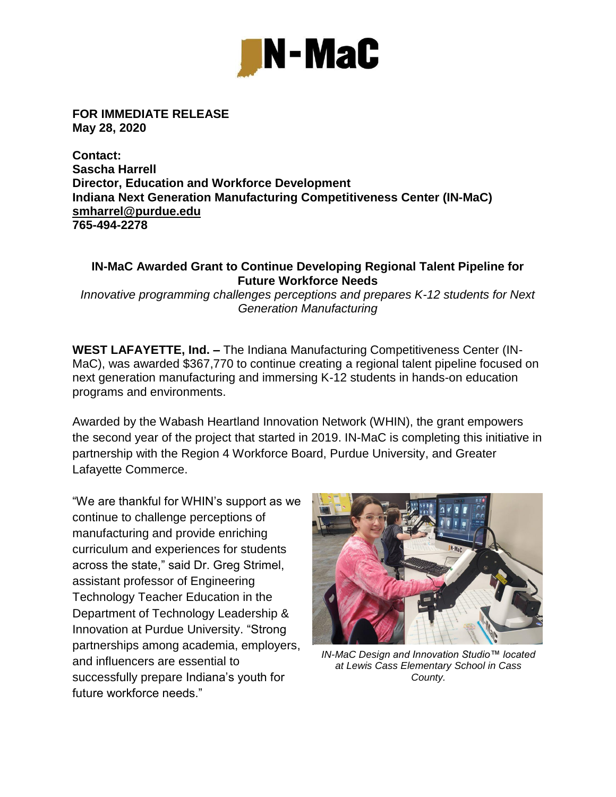

**FOR IMMEDIATE RELEASE May 28, 2020**

**Contact: Sascha Harrell Director, Education and Workforce Development Indiana Next Generation Manufacturing [Competitiveness](http://www.purdue.edu/in-mac/) Center (IN-MaC) [smharrel@purdue.edu](mailto:smharrel@purdue.edu) 765-494-2278**

## **IN-MaC Awarded Grant to Continue Developing Regional Talent Pipeline for Future Workforce Needs**

*Innovative programming challenges perceptions and prepares K-12 students for Next Generation Manufacturing*

**WEST LAFAYETTE, Ind. –** The Indiana Manufacturing Competitiveness Center (IN-MaC), was awarded \$367,770 to continue creating a regional talent pipeline focused on next generation manufacturing and immersing K-12 students in hands-on education programs and environments.

Awarded by the Wabash Heartland Innovation Network (WHIN), the grant empowers the second year of the project that started in 2019. IN-MaC is completing this initiative in partnership with the Region 4 Workforce Board, Purdue University, and Greater Lafayette Commerce.

"We are thankful for WHIN's support as we continue to challenge perceptions of manufacturing and provide enriching curriculum and experiences for students across the state," said Dr. Greg Strimel, assistant professor of Engineering Technology Teacher Education in the Department of Technology Leadership & Innovation at Purdue University. "Strong partnerships among academia, employers, and influencers are essential to successfully prepare Indiana's youth for future workforce needs."



*IN-MaC Design and Innovation Studio™ located at Lewis Cass Elementary School in Cass County.*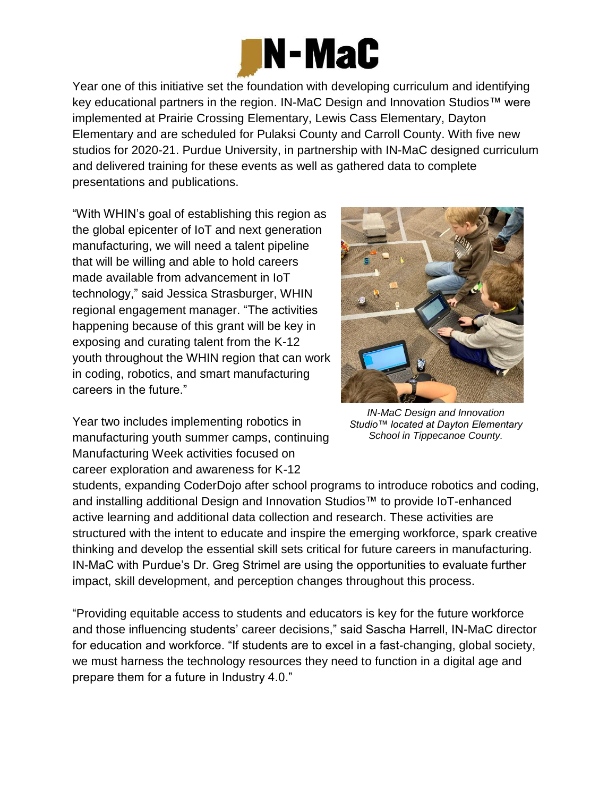

Year one of this initiative set the foundation with developing curriculum and identifying key educational partners in the region. IN-MaC Design and Innovation Studios™ were implemented at Prairie Crossing Elementary, Lewis Cass Elementary, Dayton Elementary and are scheduled for Pulaksi County and Carroll County. With five new studios for 2020-21. Purdue University, in partnership with IN-MaC designed curriculum and delivered training for these events as well as gathered data to complete presentations and publications.

"With WHIN's goal of establishing this region as the global epicenter of IoT and next generation manufacturing, we will need a talent pipeline that will be willing and able to hold careers made available from advancement in IoT technology," said Jessica Strasburger, WHIN regional engagement manager. "The activities happening because of this grant will be key in exposing and curating talent from the K-12 youth throughout the WHIN region that can work in coding, robotics, and smart manufacturing careers in the future."



Year two includes implementing robotics in manufacturing youth summer camps, continuing Manufacturing Week activities focused on career exploration and awareness for K-12

*IN-MaC Design and Innovation Studio™ located at Dayton Elementary School in Tippecanoe County.* 

students, expanding CoderDojo after school programs to introduce robotics and coding, and installing additional Design and Innovation Studios™ to provide IoT-enhanced active learning and additional data collection and research. These activities are structured with the intent to educate and inspire the emerging workforce, spark creative thinking and develop the essential skill sets critical for future careers in manufacturing. IN-MaC with Purdue's Dr. Greg Strimel are using the opportunities to evaluate further impact, skill development, and perception changes throughout this process.

"Providing equitable access to students and educators is key for the future workforce and those influencing students' career decisions," said Sascha Harrell, IN-MaC director for education and workforce. "If students are to excel in a fast-changing, global society, we must harness the technology resources they need to function in a digital age and prepare them for a future in Industry 4.0."